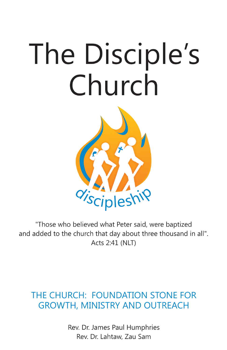# The Disciple's Church



"Those who believed what Peter said, were baptized and added to the church that day about three thousand in all". Acts 2:41 (NLT)

## THE CHURCH: FOUNDATION STONE FOR **GROWTH, MINISTRY AND OUTREACH**

Rev. Dr. James Paul Humphries Rev. Dr. Lahtaw, Zau Sam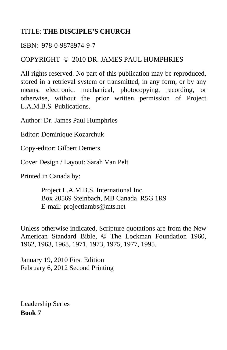#### TITLE: **THE DISCIPLE'S CHURCH**

#### ISBN: 978-0-9878974-9-7

#### COPYRIGHT © 2010 DR. JAMES PAUL HUMPHRIES

All rights reserved. No part of this publication may be reproduced, stored in a retrieval system or transmitted, in any form, or by any means, electronic, mechanical, photocopying, recording, or otherwise, without the prior written permission of Project L.A.M.B.S. Publications.

Author: Dr. James Paul Humphries

Editor: Dominique Kozarchuk

Copy-editor: Gilbert Demers

Cover Design / Layout: Sarah Van Pelt

Printed in Canada by:

 Project L.A.M.B.S. International Inc. Box 20569 Steinbach, MB Canada R5G 1R9 E-mail: projectlambs@mts.net

Unless otherwise indicated, Scripture quotations are from the New American Standard Bible, © The Lockman Foundation 1960, 1962, 1963, 1968, 1971, 1973, 1975, 1977, 1995.

January 19, 2010 First Edition February 6, 2012 Second Printing

Leadership Series **Book 7**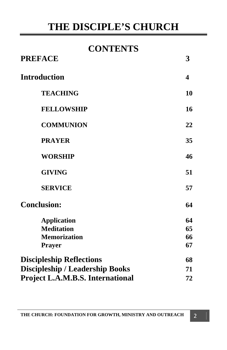## **CONTENTS**

| <b>PREFACE</b>                          | 3  |
|-----------------------------------------|----|
| <b>Introduction</b>                     | 4  |
| <b>TEACHING</b>                         | 10 |
| <b>FELLOWSHIP</b>                       | 16 |
| <b>COMMUNION</b>                        | 22 |
| <b>PRAYER</b>                           | 35 |
| <b>WORSHIP</b>                          | 46 |
| <b>GIVING</b>                           | 51 |
| <b>SERVICE</b>                          | 57 |
| <b>Conclusion:</b>                      | 64 |
| <b>Application</b>                      | 64 |
| <b>Meditation</b>                       | 65 |
| <b>Memorization</b>                     | 66 |
| <b>Prayer</b>                           | 67 |
| <b>Discipleship Reflections</b>         | 68 |
| <b>Discipleship / Leadership Books</b>  | 71 |
| <b>Project L.A.M.B.S. International</b> | 72 |
|                                         |    |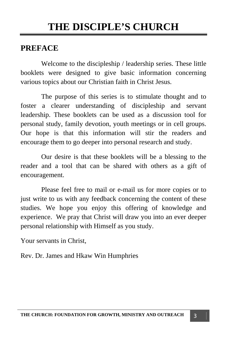#### **PREFACE**

 Welcome to the discipleship / leadership series. These little booklets were designed to give basic information concerning various topics about our Christian faith in Christ Jesus.

 The purpose of this series is to stimulate thought and to foster a clearer understanding of discipleship and servant leadership. These booklets can be used as a discussion tool for personal study, family devotion, youth meetings or in cell groups. Our hope is that this information will stir the readers and encourage them to go deeper into personal research and study.

 Our desire is that these booklets will be a blessing to the reader and a tool that can be shared with others as a gift of encouragement.

 Please feel free to mail or e-mail us for more copies or to just write to us with any feedback concerning the content of these studies. We hope you enjoy this offering of knowledge and experience. We pray that Christ will draw you into an ever deeper personal relationship with Himself as you study.

Your servants in Christ,

Rev. Dr. James and Hkaw Win Humphries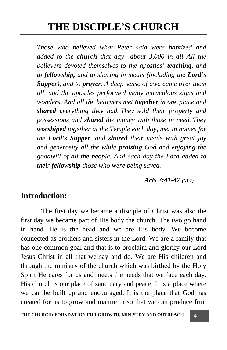*Those who believed what Peter said were baptized and added to the church that day—about 3,000 in all. All the believers devoted themselves to the apostles' teaching, and to fellowship, and to sharing in meals (including the Lord's Supper), and to prayer. A deep sense of awe came over them all, and the apostles performed many miraculous signs and wonders. And all the believers met together in one place and shared everything they had. They sold their property and possessions and shared the money with those in need. They worshiped together at the Temple each day, met in homes for the Lord's Supper, and shared their meals with great joy and generosity all the while praising God and enjoying the goodwill of all the people. And each day the Lord added to their fellowship those who were being saved.* 

 *Acts 2:41-47 (NLT)* 

### **Introduction:**

 The first day we became a disciple of Christ was also the first day we became part of His body the church. The two go hand in hand. He is the head and we are His body. We become connected as brothers and sisters in the Lord. We are a family that has one common goal and that is to proclaim and glorify our Lord Jesus Christ in all that we say and do. We are His children and through the ministry of the church which was birthed by the Holy Spirit He cares for us and meets the needs that we face each day. His church is our place of sanctuary and peace. It is a place where we can be built up and encouraged. It is the place that God has created for us to grow and mature in so that we can produce fruit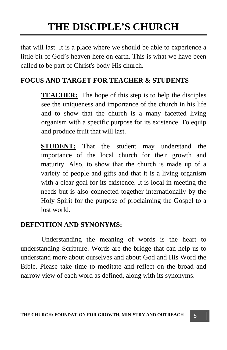that will last. It is a place where we should be able to experience a little bit of God's heaven here on earth. This is what we have been called to be part of Christ's body His church.

#### **FOCUS AND TARGET FOR TEACHER & STUDENTS**

**TEACHER:** The hope of this step is to help the disciples see the uniqueness and importance of the church in his life and to show that the church is a many facetted living organism with a specific purpose for its existence. To equip and produce fruit that will last.

**STUDENT:** That the student may understand the importance of the local church for their growth and maturity. Also, to show that the church is made up of a variety of people and gifts and that it is a living organism with a clear goal for its existence. It is local in meeting the needs but is also connected together internationally by the Holy Spirit for the purpose of proclaiming the Gospel to a lost world.

#### **DEFINITION AND SYNONYMS:**

Understanding the meaning of words is the heart to understanding Scripture. Words are the bridge that can help us to understand more about ourselves and about God and His Word the Bible. Please take time to meditate and reflect on the broad and narrow view of each word as defined, along with its synonyms.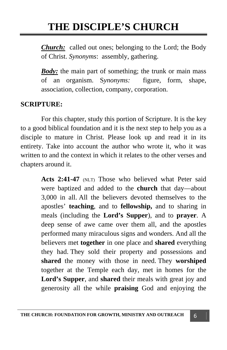*Church:* called out ones; belonging to the Lord; the Body of Christ. *Synonyms*: assembly, gathering.

*Body:* the main part of something; the trunk or main mass of an organism. S*ynonyms:* figure, form, shape, association, collection, company, corporation.

#### **SCRIPTURE:**

For this chapter, study this portion of Scripture. It is the key to a good biblical foundation and it is the next step to help you as a disciple to mature in Christ. Please look up and read it in its entirety. Take into account the author who wrote it, who it was written to and the context in which it relates to the other verses and chapters around it.

> Acts 2:41-47 (NLT) Those who believed what Peter said were baptized and added to the **church** that day—about 3,000 in all. All the believers devoted themselves to the apostles' **teaching**, and to **fellowship,** and to sharing in meals (including the **Lord's Supper**), and to **prayer**. A deep sense of awe came over them all, and the apostles performed many miraculous signs and wonders. And all the believers met **together** in one place and **shared** everything they had. They sold their property and possessions and **shared** the money with those in need. They **worshiped**  together at the Temple each day, met in homes for the **Lord's Supper**, and **shared** their meals with great joy and generosity all the while **praising** God and enjoying the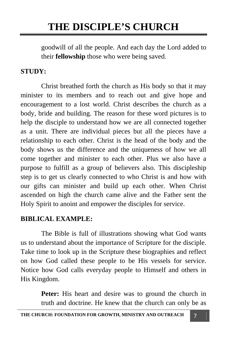goodwill of all the people. And each day the Lord added to their **fellowship** those who were being saved.

#### **STUDY:**

 Christ breathed forth the church as His body so that it may minister to its members and to reach out and give hope and encouragement to a lost world. Christ describes the church as a body, bride and building. The reason for these word pictures is to help the disciple to understand how we are all connected together as a unit. There are individual pieces but all the pieces have a relationship to each other. Christ is the head of the body and the body shows us the difference and the uniqueness of how we all come together and minister to each other. Plus we also have a purpose to fulfill as a group of believers also. This discipleship step is to get us clearly connected to who Christ is and how with our gifts can minister and build up each other. When Christ ascended on high the church came alive and the Father sent the Holy Spirit to anoint and empower the disciples for service.

#### **BIBLICAL EXAMPLE:**

 The Bible is full of illustrations showing what God wants us to understand about the importance of Scripture for the disciple. Take time to look up in the Scripture these biographies and reflect on how God called these people to be His vessels for service. Notice how God calls everyday people to Himself and others in His Kingdom.

> Peter: His heart and desire was to ground the church in truth and doctrine. He knew that the church can only be as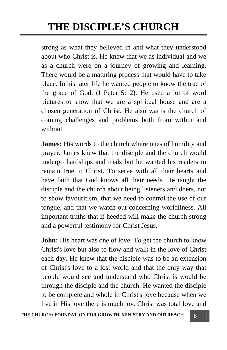strong as what they believed in and what they understood about who Christ is. He knew that we as individual and we as a church were on a journey of growing and learning. There would be a maturing process that would have to take place. In his later life he wanted people to know the true of the grace of God. (I Peter 5:12). He used a lot of word pictures to show that we are a spiritual house and are a chosen generation of Christ. He also warns the church of coming challenges and problems both from within and without.

**James:** His words to the church where ones of humility and prayer. James knew that the disciple and the church would undergo hardships and trials but he wanted his readers to remain true to Christ. To serve with all their hearts and have faith that God knows all their needs. He taught the disciple and the church about being listeners and doers, not to show favouritism, that we need to control the use of our tongue, and that we watch out concerning worldliness. All important truths that if heeded will make the church strong and a powerful testimony for Christ Jesus.

**John:** His heart was one of love. To get the church to know Christ's love but also to flow and walk in the love of Christ each day. He knew that the disciple was to be an extension of Christ's love to a lost world and that the only way that people would see and understand who Christ is would be through the disciple and the church. He wanted the disciple to be complete and whole in Christ's love because when we live in His love there is much joy. Christ was total love and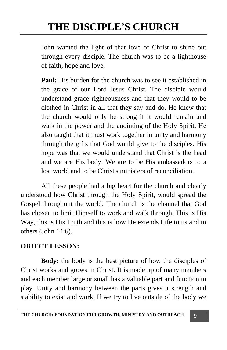John wanted the light of that love of Christ to shine out through every disciple. The church was to be a lighthouse of faith, hope and love.

**Paul:** His burden for the church was to see it established in the grace of our Lord Jesus Christ. The disciple would understand grace righteousness and that they would to be clothed in Christ in all that they say and do. He knew that the church would only be strong if it would remain and walk in the power and the anointing of the Holy Spirit. He also taught that it must work together in unity and harmony through the gifts that God would give to the disciples. His hope was that we would understand that Christ is the head and we are His body. We are to be His ambassadors to a lost world and to be Christ's ministers of reconciliation.

 All these people had a big heart for the church and clearly understood how Christ through the Holy Spirit, would spread the Gospel throughout the world. The church is the channel that God has chosen to limit Himself to work and walk through. This is His Way, this is His Truth and this is how He extends Life to us and to others (John 14:6).

#### **OBJECT LESSON:**

**Body:** the body is the best picture of how the disciples of Christ works and grows in Christ. It is made up of many members and each member large or small has a valuable part and function to play. Unity and harmony between the parts gives it strength and stability to exist and work. If we try to live outside of the body we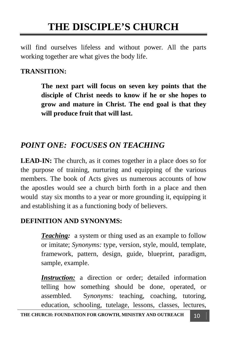will find ourselves lifeless and without power. All the parts working together are what gives the body life.

#### **TRANSITION:**

**The next part will focus on seven key points that the disciple of Christ needs to know if he or she hopes to grow and mature in Christ. The end goal is that they will produce fruit that will last.** 

## *POINT ONE: FOCUSES ON TEACHING*

**LEAD-IN:** The church, as it comes together in a place does so for the purpose of training, nurturing and equipping of the various members. The book of Acts gives us numerous accounts of how the apostles would see a church birth forth in a place and then would stay six months to a year or more grounding it, equipping it and establishing it as a functioning body of believers.

#### **DEFINITION AND SYNONYMS:**

*Teaching:* a system or thing used as an example to follow or imitate; *Synonyms:* type, version, style, mould, template, framework, pattern, design, guide, blueprint, paradigm, sample, example.

*Instruction:* a direction or order; detailed information telling how something should be done, operated, or assembled. S*ynonyms:* teaching, coaching, tutoring, education, schooling, tutelage, lessons, classes, lectures,